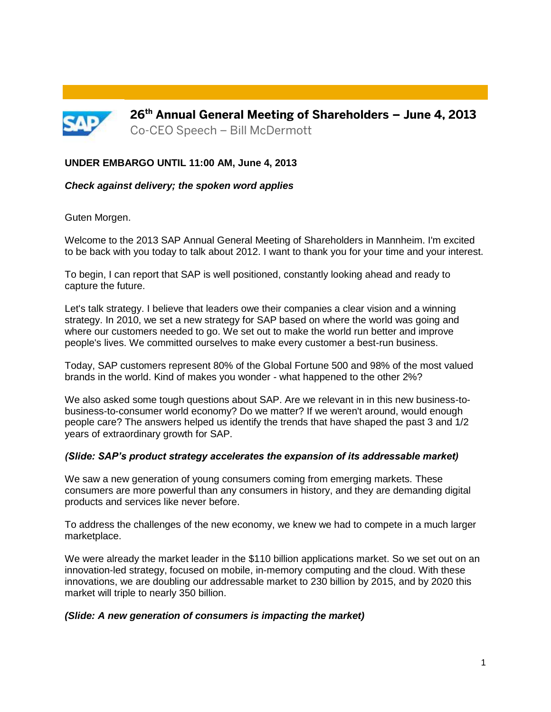

#### **UNDER EMBARGO UNTIL 11:00 AM, June 4, 2013**

#### *Check against delivery; the spoken word applies*

Guten Morgen.

Welcome to the 2013 SAP Annual General Meeting of Shareholders in Mannheim. I'm excited to be back with you today to talk about 2012. I want to thank you for your time and your interest.

To begin, I can report that SAP is well positioned, constantly looking ahead and ready to capture the future.

Let's talk strategy. I believe that leaders owe their companies a clear vision and a winning strategy. In 2010, we set a new strategy for SAP based on where the world was going and where our customers needed to go. We set out to make the world run better and improve people's lives. We committed ourselves to make every customer a best-run business.

Today, SAP customers represent 80% of the Global Fortune 500 and 98% of the most valued brands in the world. Kind of makes you wonder - what happened to the other 2%?

We also asked some tough questions about SAP. Are we relevant in in this new business-tobusiness-to-consumer world economy? Do we matter? If we weren't around, would enough people care? The answers helped us identify the trends that have shaped the past 3 and 1/2 years of extraordinary growth for SAP.

#### *(Slide: SAP's product strategy accelerates the expansion of its addressable market)*

We saw a new generation of young consumers coming from emerging markets. These consumers are more powerful than any consumers in history, and they are demanding digital products and services like never before.

To address the challenges of the new economy, we knew we had to compete in a much larger marketplace.

We were already the market leader in the \$110 billion applications market. So we set out on an innovation-led strategy, focused on mobile, in-memory computing and the cloud. With these innovations, we are doubling our addressable market to 230 billion by 2015, and by 2020 this market will triple to nearly 350 billion.

#### *(Slide: A new generation of consumers is impacting the market)*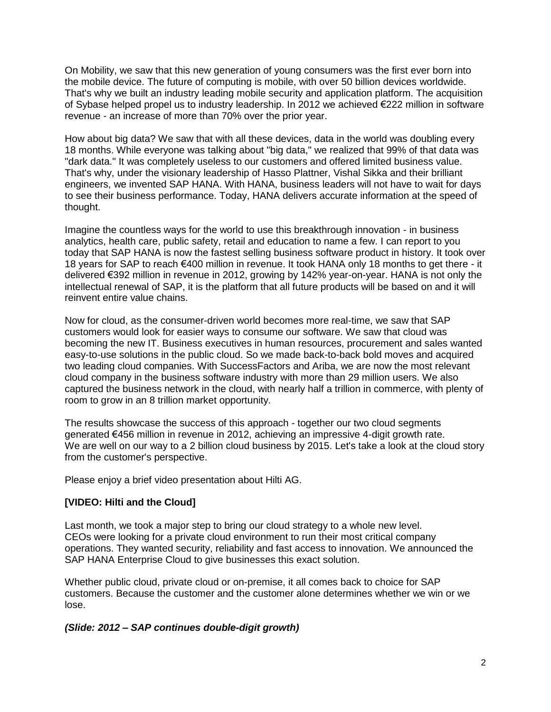On Mobility, we saw that this new generation of young consumers was the first ever born into the mobile device. The future of computing is mobile, with over 50 billion devices worldwide. That's why we built an industry leading mobile security and application platform. The acquisition of Sybase helped propel us to industry leadership. In 2012 we achieved €222 million in software revenue - an increase of more than 70% over the prior year.

How about big data? We saw that with all these devices, data in the world was doubling every 18 months. While everyone was talking about "big data," we realized that 99% of that data was "dark data." It was completely useless to our customers and offered limited business value. That's why, under the visionary leadership of Hasso Plattner, Vishal Sikka and their brilliant engineers, we invented SAP HANA. With HANA, business leaders will not have to wait for days to see their business performance. Today, HANA delivers accurate information at the speed of thought.

Imagine the countless ways for the world to use this breakthrough innovation - in business analytics, health care, public safety, retail and education to name a few. I can report to you today that SAP HANA is now the fastest selling business software product in history. It took over 18 years for SAP to reach €400 million in revenue. It took HANA only 18 months to get there - it delivered €392 million in revenue in 2012, growing by 142% year-on-year. HANA is not only the intellectual renewal of SAP, it is the platform that all future products will be based on and it will reinvent entire value chains.

Now for cloud, as the consumer-driven world becomes more real-time, we saw that SAP customers would look for easier ways to consume our software. We saw that cloud was becoming the new IT. Business executives in human resources, procurement and sales wanted easy-to-use solutions in the public cloud. So we made back-to-back bold moves and acquired two leading cloud companies. With SuccessFactors and Ariba, we are now the most relevant cloud company in the business software industry with more than 29 million users. We also captured the business network in the cloud, with nearly half a trillion in commerce, with plenty of room to grow in an 8 trillion market opportunity.

The results showcase the success of this approach - together our two cloud segments generated €456 million in revenue in 2012, achieving an impressive 4-digit growth rate. We are well on our way to a 2 billion cloud business by 2015. Let's take a look at the cloud story from the customer's perspective.

Please enjoy a brief video presentation about Hilti AG.

# **[VIDEO: Hilti and the Cloud]**

Last month, we took a major step to bring our cloud strategy to a whole new level. CEOs were looking for a private cloud environment to run their most critical company operations. They wanted security, reliability and fast access to innovation. We announced the SAP HANA Enterprise Cloud to give businesses this exact solution.

Whether public cloud, private cloud or on-premise, it all comes back to choice for SAP customers. Because the customer and the customer alone determines whether we win or we lose.

# *(Slide: 2012 – SAP continues double-digit growth)*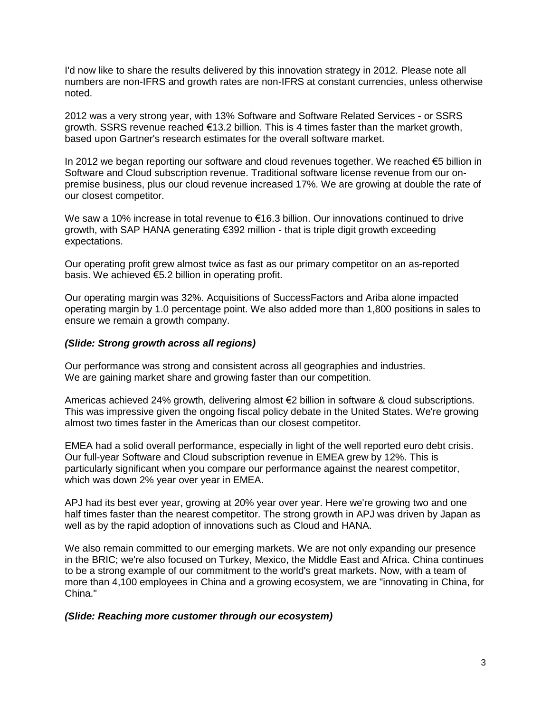I'd now like to share the results delivered by this innovation strategy in 2012. Please note all numbers are non-IFRS and growth rates are non-IFRS at constant currencies, unless otherwise noted.

2012 was a very strong year, with 13% Software and Software Related Services - or SSRS growth. SSRS revenue reached  $€13.2$  billion. This is 4 times faster than the market growth, based upon Gartner's research estimates for the overall software market.

In 2012 we began reporting our software and cloud revenues together. We reached €5 billion in Software and Cloud subscription revenue. Traditional software license revenue from our onpremise business, plus our cloud revenue increased 17%. We are growing at double the rate of our closest competitor.

We saw a 10% increase in total revenue to €16.3 billion. Our innovations continued to drive growth, with SAP HANA generating €392 million - that is triple digit growth exceeding expectations.

Our operating profit grew almost twice as fast as our primary competitor on an as-reported basis. We achieved €5.2 billion in operating profit.

Our operating margin was 32%. Acquisitions of SuccessFactors and Ariba alone impacted operating margin by 1.0 percentage point. We also added more than 1,800 positions in sales to ensure we remain a growth company.

# *(Slide: Strong growth across all regions)*

Our performance was strong and consistent across all geographies and industries. We are gaining market share and growing faster than our competition.

Americas achieved 24% growth, delivering almost €2 billion in software & cloud subscriptions. This was impressive given the ongoing fiscal policy debate in the United States. We're growing almost two times faster in the Americas than our closest competitor.

EMEA had a solid overall performance, especially in light of the well reported euro debt crisis. Our full-year Software and Cloud subscription revenue in EMEA grew by 12%. This is particularly significant when you compare our performance against the nearest competitor, which was down 2% year over year in EMEA.

APJ had its best ever year, growing at 20% year over year. Here we're growing two and one half times faster than the nearest competitor. The strong growth in APJ was driven by Japan as well as by the rapid adoption of innovations such as Cloud and HANA.

We also remain committed to our emerging markets. We are not only expanding our presence in the BRIC; we're also focused on Turkey, Mexico, the Middle East and Africa. China continues to be a strong example of our commitment to the world's great markets. Now, with a team of more than 4,100 employees in China and a growing ecosystem, we are "innovating in China, for China."

#### *(Slide: Reaching more customer through our ecosystem)*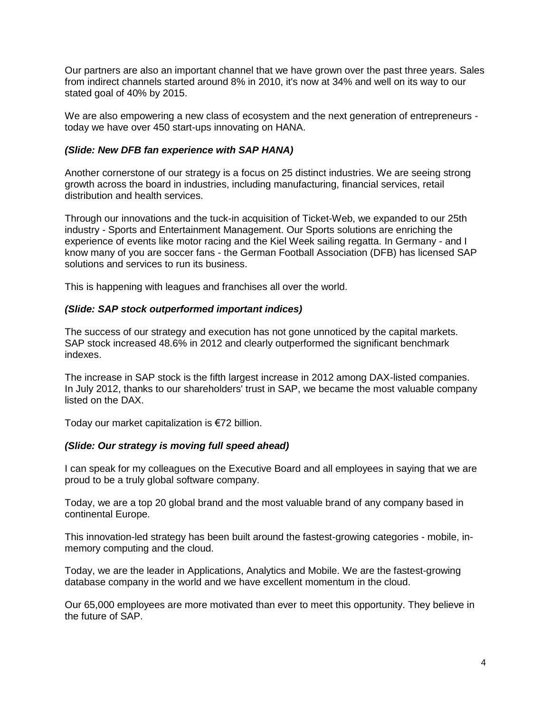Our partners are also an important channel that we have grown over the past three years. Sales from indirect channels started around 8% in 2010, it's now at 34% and well on its way to our stated goal of 40% by 2015.

We are also empowering a new class of ecosystem and the next generation of entrepreneurs today we have over 450 start-ups innovating on HANA.

# *(Slide: New DFB fan experience with SAP HANA)*

Another cornerstone of our strategy is a focus on 25 distinct industries. We are seeing strong growth across the board in industries, including manufacturing, financial services, retail distribution and health services.

Through our innovations and the tuck-in acquisition of Ticket-Web, we expanded to our 25th industry - Sports and Entertainment Management. Our Sports solutions are enriching the experience of events like motor racing and the Kiel Week sailing regatta. In Germany - and I know many of you are soccer fans - the German Football Association (DFB) has licensed SAP solutions and services to run its business.

This is happening with leagues and franchises all over the world.

# *(Slide: SAP stock outperformed important indices)*

The success of our strategy and execution has not gone unnoticed by the capital markets. SAP stock increased 48.6% in 2012 and clearly outperformed the significant benchmark indexes.

The increase in SAP stock is the fifth largest increase in 2012 among DAX-listed companies. In July 2012, thanks to our shareholders' trust in SAP, we became the most valuable company listed on the DAX.

Today our market capitalization is €72 billion.

# *(Slide: Our strategy is moving full speed ahead)*

I can speak for my colleagues on the Executive Board and all employees in saying that we are proud to be a truly global software company.

Today, we are a top 20 global brand and the most valuable brand of any company based in continental Europe.

This innovation-led strategy has been built around the fastest-growing categories - mobile, inmemory computing and the cloud.

Today, we are the leader in Applications, Analytics and Mobile. We are the fastest-growing database company in the world and we have excellent momentum in the cloud.

Our 65,000 employees are more motivated than ever to meet this opportunity. They believe in the future of SAP.